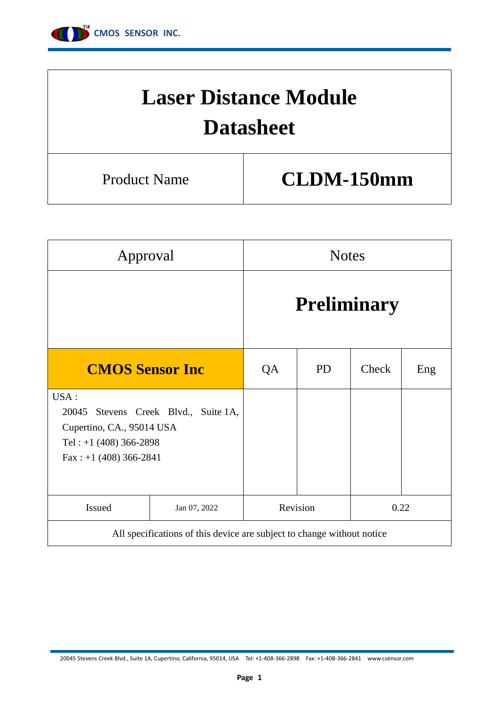

# **Laser Distance Module Datasheet** Product Name **CLDM-150mm**

| Approval                                                                                            |                                                                        | <b>Notes</b> |                    |       |     |  |  |  |  |  |
|-----------------------------------------------------------------------------------------------------|------------------------------------------------------------------------|--------------|--------------------|-------|-----|--|--|--|--|--|
|                                                                                                     |                                                                        |              | <b>Preliminary</b> |       |     |  |  |  |  |  |
| <b>CMOS Sensor Inc.</b>                                                                             |                                                                        | QA           | <b>PD</b>          | Check | Eng |  |  |  |  |  |
| USA:<br>20045<br>Cupertino, CA., 95014 USA<br>Tel: $+1$ (408) 366-2898<br>Fax : $+1$ (408) 366-2841 | Stevens Creek Blvd., Suite 1A,                                         |              |                    |       |     |  |  |  |  |  |
| Issued                                                                                              | Jan 07, 2022                                                           |              | Revision           | 0.22  |     |  |  |  |  |  |
|                                                                                                     | All specifications of this device are subject to change without notice |              |                    |       |     |  |  |  |  |  |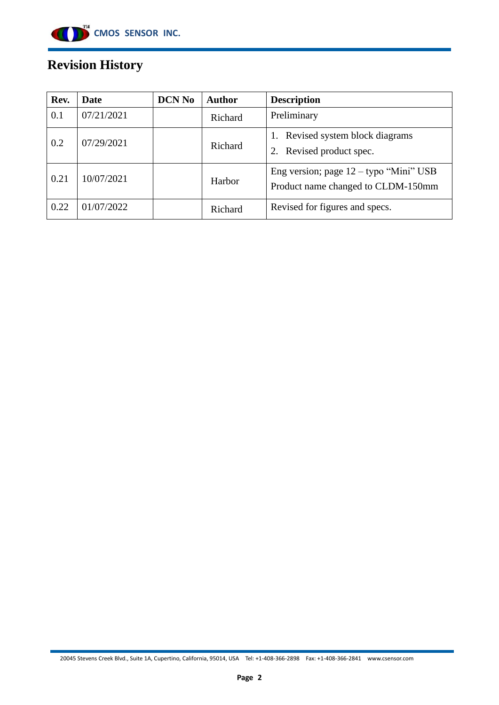

# **Revision History**

| Rev. | Date       | <b>DCN No</b> | <b>Author</b> | <b>Description</b>                                                             |
|------|------------|---------------|---------------|--------------------------------------------------------------------------------|
| 0.1  | 07/21/2021 |               | Richard       | Preliminary                                                                    |
| 0.2  | 07/29/2021 |               | Richard       | Revised system block diagrams<br>1.<br>Revised product spec.<br>2.             |
| 0.21 | 10/07/2021 |               | Harbor        | Eng version; page $12 -$ typo "Mini" USB<br>Product name changed to CLDM-150mm |
| 0.22 | 01/07/2022 |               | Richard       | Revised for figures and specs.                                                 |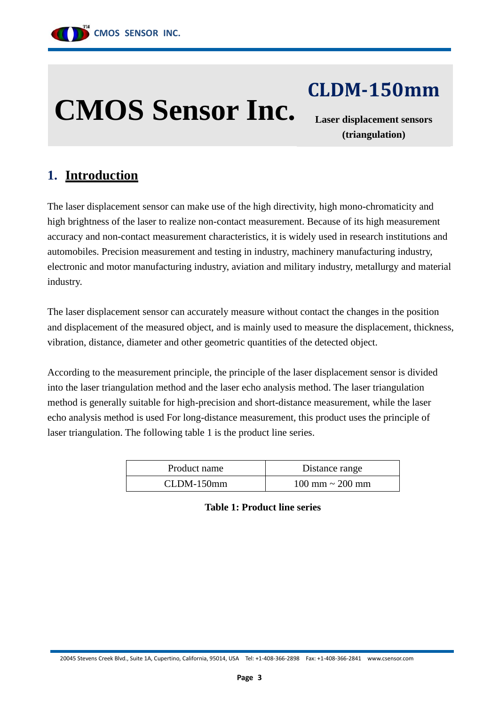

# **CMOS Sensor Inc.**

**CLDM-150mm**

**Laser displacement sensors (triangulation)**

# **1. Introduction**

The laser displacement sensor can make use of the high directivity, high mono-chromaticity and high brightness of the laser to realize non-contact measurement. Because of its high measurement accuracy and non-contact measurement characteristics, it is widely used in research institutions and automobiles. Precision measurement and testing in industry, machinery manufacturing industry, electronic and motor manufacturing industry, aviation and military industry, metallurgy and material industry.

The laser displacement sensor can accurately measure without contact the changes in the position and displacement of the measured object, and is mainly used to measure the displacement, thickness, vibration, distance, diameter and other geometric quantities of the detected object.

According to the measurement principle, the principle of the laser displacement sensor is divided into the laser triangulation method and the laser echo analysis method. The laser triangulation method is generally suitable for high-precision and short-distance measurement, while the laser echo analysis method is used For long-distance measurement, this product uses the principle of laser triangulation. The following table 1 is the product line series.

| Product name | Distance range                       |
|--------------|--------------------------------------|
| $CLDM-150mm$ | $100 \text{ mm} \sim 200 \text{ mm}$ |

**Table 1: Product line series**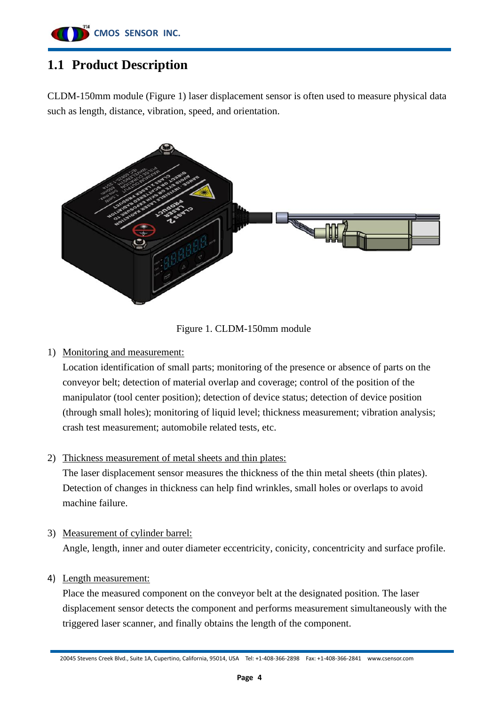

# **1.1 Product Description**

CLDM-150mm module (Figure 1) laser displacement sensor is often used to measure physical data such as length, distance, vibration, speed, and orientation.



Figure 1. CLDM-150mm module

#### 1) Monitoring and measurement:

Location identification of small parts; monitoring of the presence or absence of parts on the conveyor belt; detection of material overlap and coverage; control of the position of the manipulator (tool center position); detection of device status; detection of device position (through small holes); monitoring of liquid level; thickness measurement; vibration analysis; crash test measurement; automobile related tests, etc.

#### 2) Thickness measurement of metal sheets and thin plates:

The laser displacement sensor measures the thickness of the thin metal sheets (thin plates). Detection of changes in thickness can help find wrinkles, small holes or overlaps to avoid machine failure.

3) Measurement of cylinder barrel:

Angle, length, inner and outer diameter eccentricity, conicity, concentricity and surface profile.

#### 4) Length measurement:

Place the measured component on the conveyor belt at the designated position. The laser displacement sensor detects the component and performs measurement simultaneously with the triggered laser scanner, and finally obtains the length of the component.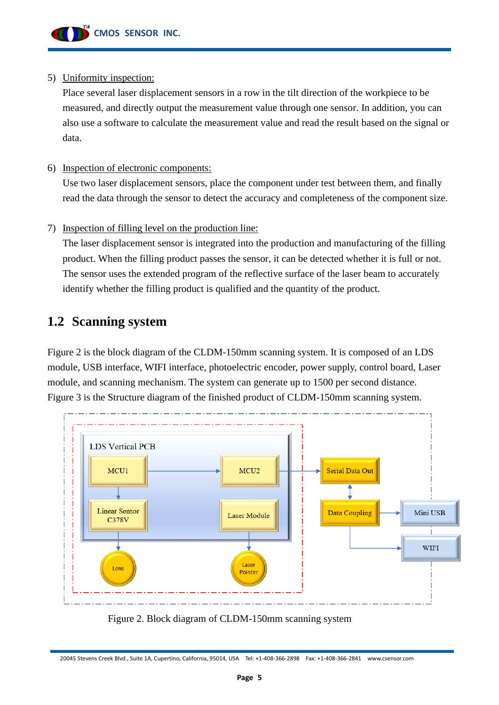

#### 5) Uniformity inspection:

Place several laser displacement sensors in a row in the tilt direction of the workpiece to be measured, and directly output the measurement value through one sensor. In addition, you can also use a software to calculate the measurement value and read the result based on the signal or data.

#### 6) Inspection of electronic components:

Use two laser displacement sensors, place the component under test between them, and finally read the data through the sensor to detect the accuracy and completeness of the component size.

#### 7) Inspection of filling level on the production line:

The laser displacement sensor is integrated into the production and manufacturing of the filling product. When the filling product passes the sensor, it can be detected whether it is full or not. The sensor uses the extended program of the reflective surface of the laser beam to accurately identify whether the filling product is qualified and the quantity of the product.

## **1.2 Scanning system**

Figure 2 is the block diagram of the CLDM-150mm scanning system. It is composed of an LDS module, USB interface, WIFI interface, photoelectric encoder, power supply, control board, Laser module, and scanning mechanism. The system can generate up to 1500 per second distance. Figure 3 is the Structure diagram of the finished product of CLDM-150mm scanning system.



Figure 2. Block diagram of CLDM-150mm scanning system

<sup>20045</sup> Stevens Creek Blvd., Suite 1A, Cupertino, California, 95014, USA [Tel: +1-408-366-2898](http://Tel:%20+1-408-366-2898) Fax: +1-408-366-2841 www.csensor.com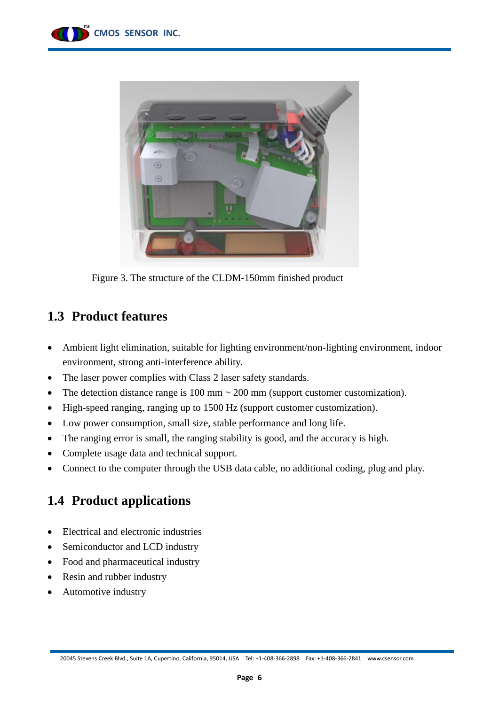



Figure 3. The structure of the CLDM-150mm finished product

## **1.3 Product features**

- Ambient light elimination, suitable for lighting environment/non-lighting environment, indoor environment, strong anti-interference ability.
- The laser power complies with Class 2 laser safety standards.
- The detection distance range is  $100 \text{ mm} \sim 200 \text{ mm}$  (support customer customization).
- High-speed ranging, ranging up to 1500 Hz (support customer customization).
- Low power consumption, small size, stable performance and long life.
- The ranging error is small, the ranging stability is good, and the accuracy is high.
- Complete usage data and technical support.
- Connect to the computer through the USB data cable, no additional coding, plug and play.

## **1.4 Product applications**

- Electrical and electronic industries
- Semiconductor and LCD industry
- Food and pharmaceutical industry
- Resin and rubber industry
- Automotive industry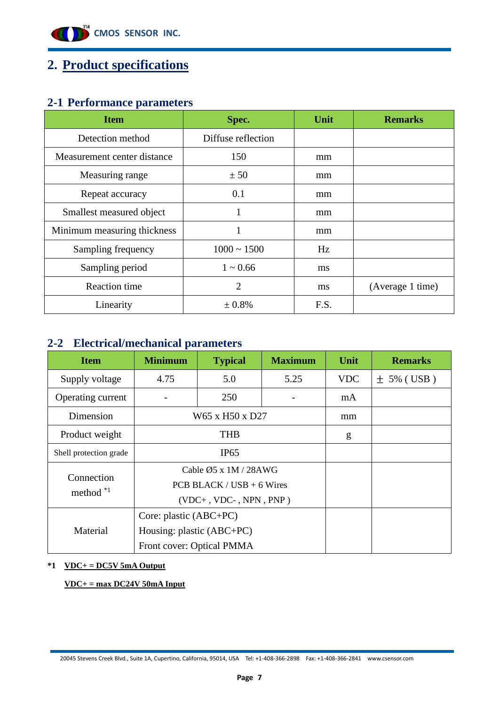

# **2. Product specifications**

## **2-1 Performance parameters**

| <b>Item</b>                 | Spec.              | Unit | <b>Remarks</b>   |
|-----------------------------|--------------------|------|------------------|
| Detection method            | Diffuse reflection |      |                  |
| Measurement center distance | 150                | mm   |                  |
| Measuring range             | ± 50               | mm   |                  |
| Repeat accuracy             | 0.1                | mm   |                  |
| Smallest measured object    |                    | mm   |                  |
| Minimum measuring thickness |                    | mm   |                  |
| Sampling frequency          | $1000 \sim 1500$   | Hz   |                  |
| Sampling period             | $1 \sim 0.66$      | ms   |                  |
| <b>Reaction time</b>        | $\overline{2}$     | ms   | (Average 1 time) |
| Linearity                   | ± 0.8%             | F.S. |                  |

#### **2-2 Electrical/mechanical parameters**

| <b>Item</b>            | <b>Minimum</b>              | <b>Typical</b>                     | <b>Maximum</b> | Unit       | <b>Remarks</b> |
|------------------------|-----------------------------|------------------------------------|----------------|------------|----------------|
| Supply voltage         | 4.75                        | 5.0                                | 5.25           | <b>VDC</b> | $\pm$ 5% (USB) |
| Operating current      |                             | 250                                |                | mA         |                |
| Dimension              |                             | W65 x H50 x D27                    |                | mm         |                |
| Product weight         |                             | <b>THB</b>                         |                | g          |                |
| Shell protection grade |                             | IP65                               |                |            |                |
| Connection             |                             | Cable $\emptyset$ 5 x 1M / 28AWG   |                |            |                |
| method $*1$            |                             | PCB BLACK / USB $+$ 6 Wires        |                |            |                |
|                        |                             | $(VDC+$ , $VDC-$ , $NPN$ , $PNP$ ) |                |            |                |
|                        |                             |                                    |                |            |                |
| Material               | Housing: plastic $(ABC+PC)$ |                                    |                |            |                |
|                        | Front cover: Optical PMMA   |                                    |                |            |                |

#### **\*1 VDC+ = DC5V 5mA Output**

**VDC+ = max DC24V 50mA Input**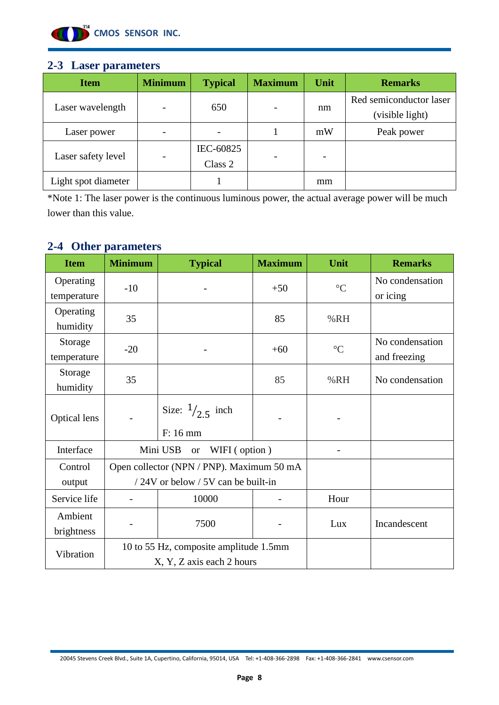

#### **2-3 Laser parameters**

| <b>Item</b>         | <b>Minimum</b> | <b>Typical</b>       | <b>Maximum</b> | Unit | <b>Remarks</b>                             |
|---------------------|----------------|----------------------|----------------|------|--------------------------------------------|
| Laser wavelength    |                | 650                  |                | nm   | Red semiconductor laser<br>(visible light) |
| Laser power         |                |                      |                | mW   | Peak power                                 |
| Laser safety level  |                | IEC-60825<br>Class 2 |                |      |                                            |
| Light spot diameter |                |                      |                | mm   |                                            |

\*Note 1: The laser power is the continuous luminous power, the actual average power will be much lower than this value.

## **2-4 Other parameters**

| <b>Item</b>              | <b>Minimum</b> | <b>Typical</b>                                                                  | <b>Maximum</b> | Unit            | <b>Remarks</b>                  |
|--------------------------|----------------|---------------------------------------------------------------------------------|----------------|-----------------|---------------------------------|
| Operating<br>temperature | $-10$          |                                                                                 | $+50$          | $\rm ^{\circ}C$ | No condensation<br>or icing     |
| Operating<br>humidity    | 35             |                                                                                 | 85             | %RH             |                                 |
| Storage<br>temperature   | $-20$          |                                                                                 | $+60$          | $\rm ^{\circ}C$ | No condensation<br>and freezing |
| Storage<br>humidity      | 35             |                                                                                 | 85             | %RH             | No condensation                 |
| Optical lens             |                | Size: $\frac{1}{25}$ inch<br>F: 16 mm                                           |                |                 |                                 |
| Interface                |                | Mini USB<br>WIFI (option)<br><b>or</b>                                          |                |                 |                                 |
| Control<br>output        |                | Open collector (NPN / PNP). Maximum 50 mA<br>/24V or below / 5V can be built-in |                |                 |                                 |
| Service life             |                | 10000                                                                           |                | Hour            |                                 |
| Ambient<br>brightness    | 7500           |                                                                                 |                | Lux             | Incandescent                    |
| Vibration                |                | 10 to 55 Hz, composite amplitude 1.5mm<br>X, Y, Z axis each 2 hours             |                |                 |                                 |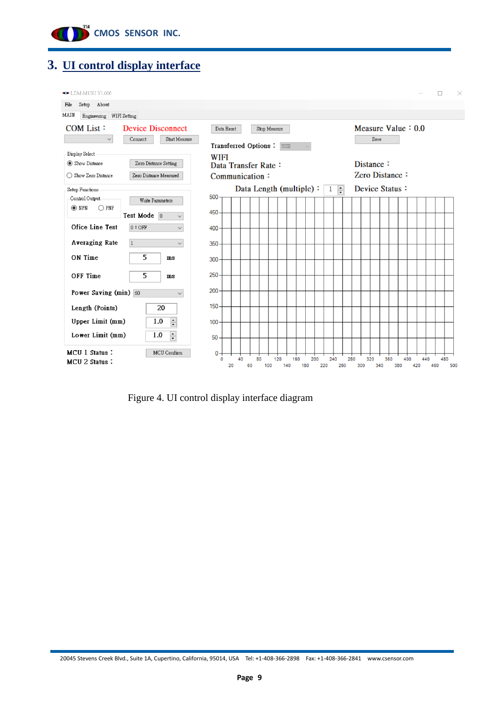

# **3. UI control display interface**

| <b>■■</b> LDM-M150I V1.006                              |                                                      |                                               |    |          |    |              |                         |     |     |            |              |     |     |                             |      |     |     |     |     |     | п   |            | $\times$ |
|---------------------------------------------------------|------------------------------------------------------|-----------------------------------------------|----|----------|----|--------------|-------------------------|-----|-----|------------|--------------|-----|-----|-----------------------------|------|-----|-----|-----|-----|-----|-----|------------|----------|
| Setup About<br>File                                     |                                                      |                                               |    |          |    |              |                         |     |     |            |              |     |     |                             |      |     |     |     |     |     |     |            |          |
| MAIN<br>Engineering WIFI Setting                        |                                                      |                                               |    |          |    |              |                         |     |     |            |              |     |     |                             |      |     |     |     |     |     |     |            |          |
| COM List:<br>$\checkmark$                               | <b>Device Disconnect</b><br>Start Measure<br>Connect | Data Reset<br>Transferred Options:            |    |          |    | Stop Measure | <b>USB</b>              |     |     |            |              |     |     | Measure Value $: 0.0$       | Save |     |     |     |     |     |     |            |          |
| Display Select<br>Show Distance<br>◯ Show Zero Distance | Zero Distance Setting<br>Zero Distance Measured      | WIFI<br>Data Transfer Rate:<br>Communication: |    |          |    |              |                         |     |     |            |              |     |     | Distance:<br>Zero Distance: |      |     |     |     |     |     |     |            |          |
| Setup Functions                                         |                                                      |                                               |    |          |    |              | Data Length (multiple): |     |     |            | $\mathbf{1}$ | F   |     | Device Status:              |      |     |     |     |     |     |     |            |          |
| Control Output<br>$\odot$ NPN<br>$\bigcirc$ PNP         | Write Parameters<br>Test Mode 0<br>$\checkmark$      | 500<br>450                                    |    |          |    |              |                         |     |     |            |              |     |     |                             |      |     |     |     |     |     |     |            |          |
| Ofice Line Test                                         | $0:$ OFF<br>$\checkmark$                             | 400                                           |    |          |    |              |                         |     |     |            |              |     |     |                             |      |     |     |     |     |     |     |            |          |
| <b>Averaging Rate</b>                                   | $\checkmark$                                         | $350 -$                                       |    |          |    |              |                         |     |     |            |              |     |     |                             |      |     |     |     |     |     |     |            |          |
| ON Time                                                 | 5<br>ms                                              | 300 <sub>1</sub>                              |    |          |    |              |                         |     |     |            |              |     |     |                             |      |     |     |     |     |     |     |            |          |
| OFF Time                                                | 5<br>$\mathbf{m}$ s                                  | 250                                           |    |          |    |              |                         |     |     |            |              |     |     |                             |      |     |     |     |     |     |     |            |          |
| Power Saving (min) 60                                   | $\checkmark$                                         | 200                                           |    |          |    |              |                         |     |     |            |              |     |     |                             |      |     |     |     |     |     |     |            |          |
| Length (Points)                                         | 20                                                   | $150 -$                                       |    |          |    |              |                         |     |     |            |              |     |     |                             |      |     |     |     |     |     |     |            |          |
| Upper Limit (mm)                                        | $\frac{1}{\sqrt{2}}$<br>1.0                          | 100                                           |    |          |    |              |                         |     |     |            |              |     |     |                             |      |     |     |     |     |     |     |            |          |
| Lower Limit (mm)                                        | $\div$<br>1.0                                        | 50                                            |    |          |    |              |                         |     |     |            |              |     |     |                             |      |     |     |     |     |     |     |            |          |
| MCU 1 Status:<br>MCU 2 Status:                          | MCU Confirm                                          | $0 -$<br>$\mathbf{0}$                         | 20 | 40<br>60 | 80 | 120<br>100   | 140                     | 160 | 180 | 200<br>220 | 240          | 260 | 280 | 320<br>300                  | 340  | 360 | 380 | 400 | 420 | 440 | 460 | 480<br>500 |          |

Figure 4. UI control display interface diagram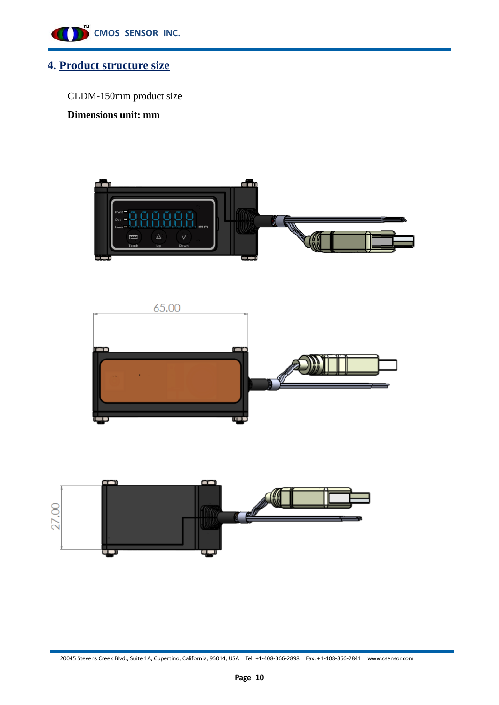

## **4. Product structure size**

CLDM-150mm product size

**Dimensions unit: mm**





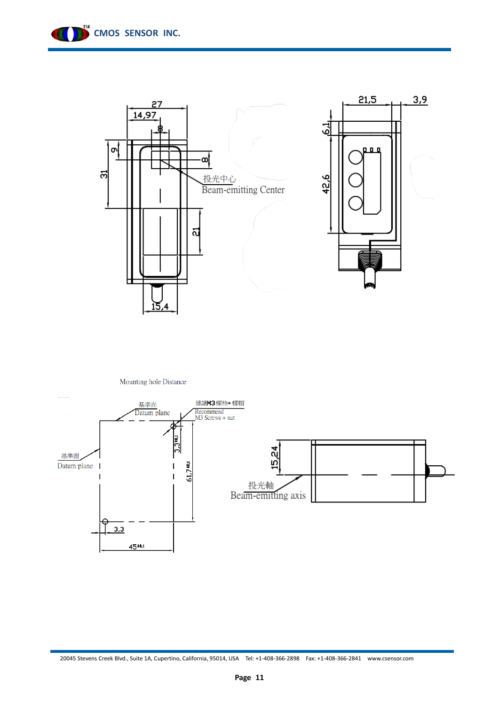



Mounting hole Distance

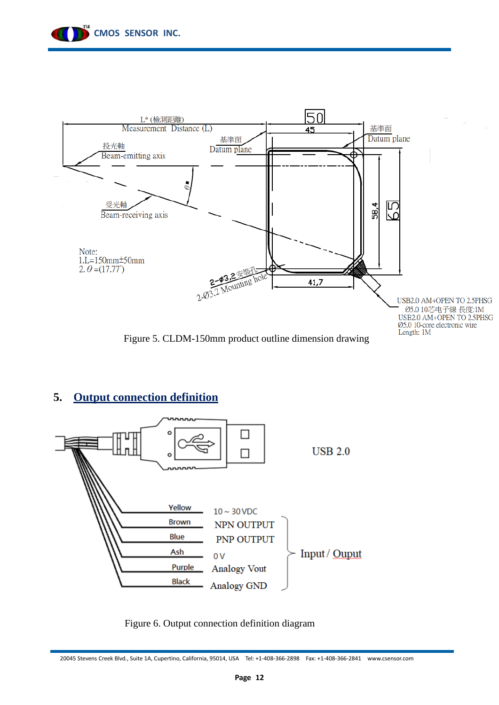



#### **5. Output connection definition**



Figure 6. Output connection definition diagram

20045 Stevens Creek Blvd., Suite 1A, Cupertino, California, 95014, USA [Tel: +1-408-366-2898](http://Tel:%20+1-408-366-2898) Fax: +1-408-366-2841 www.csensor.com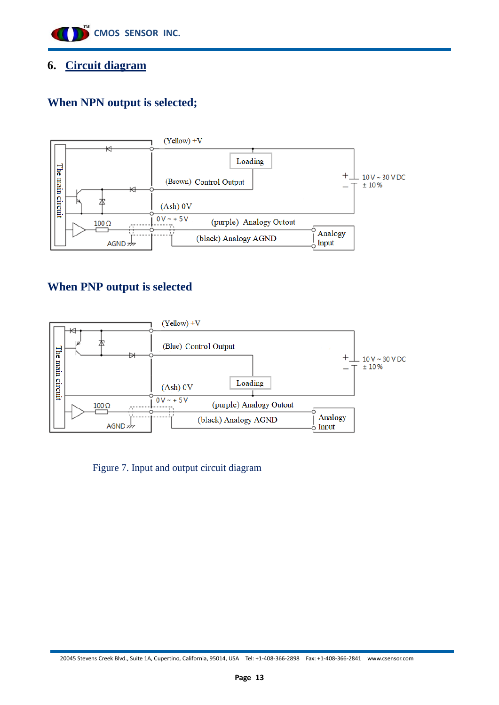

#### **6. Circuit diagram**

## **When NPN output is selected;**



## **When PNP output is selected**



Figure 7. Input and output circuit diagram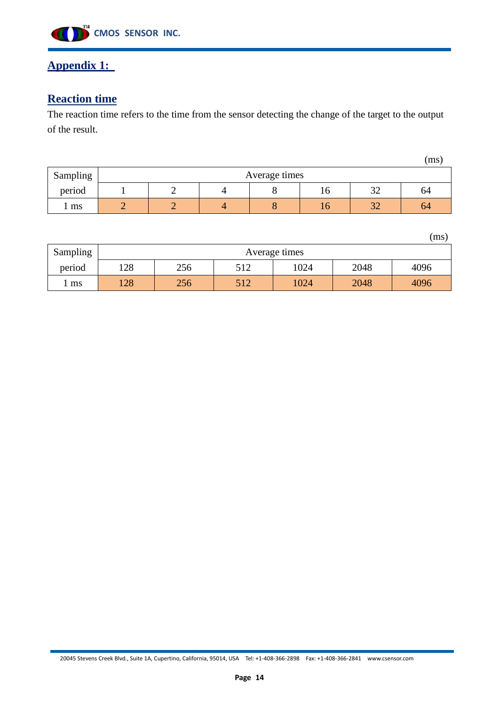

## **Appendix 1:**

# **Reaction time**

The reaction time refers to the time from the sensor detecting the change of the target to the output of the result.

|          |  |                        |               |     |                 | (ms |  |  |  |  |  |
|----------|--|------------------------|---------------|-----|-----------------|-----|--|--|--|--|--|
| Sampling |  |                        | Average times |     |                 |     |  |  |  |  |  |
| period   |  | $\mathbin{\sim}$<br>10 |               |     |                 |     |  |  |  |  |  |
| ms       |  |                        |               | I O | $\Omega$<br>ے ر | 64  |  |  |  |  |  |

(ms)

| <b>Sampling</b> |                                           | Average times |     |      |      |      |  |  |  |  |  |  |  |  |  |
|-----------------|-------------------------------------------|---------------|-----|------|------|------|--|--|--|--|--|--|--|--|--|
| period          | 2048<br>128<br>1024<br>4096<br>256<br>512 |               |     |      |      |      |  |  |  |  |  |  |  |  |  |
| l ms            | 128                                       | 256           | 512 | 1024 | 2048 | 4096 |  |  |  |  |  |  |  |  |  |